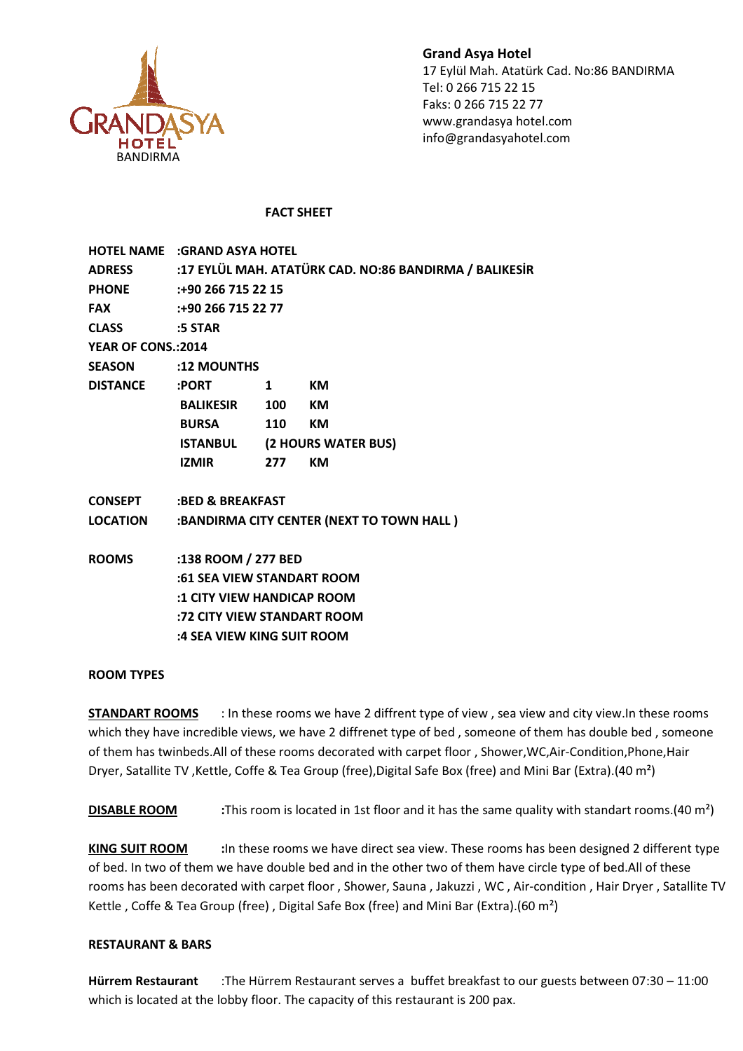

Grand Asya Hotel 17 Eylül Mah. Atatürk Cad. No:86 BANDIRMA Tel: 0 266 715 22 15 Faks: 0 266 715 22 77 www.grandasya hotel.com info@grandasyahotel.com

# FACT SHEET SHEET

|                     | <b>HOTEL NAME :GRAND ASYA HOTEL</b>                           |                                     |           |
|---------------------|---------------------------------------------------------------|-------------------------------------|-----------|
|                     | ADRESS :17 EYLÜL MAH. ATATÜRK CAD. NO:86 BANDIRMA / BALIKESİR |                                     |           |
|                     | PHONE :+90 266 715 22 15                                      |                                     |           |
| <b>FAX</b>          | :+90 266 715 22 77                                            |                                     |           |
| CLASS :5 STAR       |                                                               |                                     |           |
| YEAR OF CONS.: 2014 |                                                               |                                     |           |
|                     | SEASON :12 MOUNTHS                                            |                                     |           |
| <b>DISTANCE</b>     | :PORT                                                         | 1                                   | KM        |
|                     | <b>BALIKESIR 100 KM</b>                                       |                                     |           |
|                     | <b>BURSA</b>                                                  | <b>110</b>                          | KM        |
|                     |                                                               | <b>ISTANBUL (2 HOURS WATER BUS)</b> |           |
|                     | IZMIR                                                         | 277                                 | <b>KM</b> |
|                     | <b>CONSEPT :BED &amp; BREAKFAST</b>                           |                                     |           |
| <b>LOCATION</b>     | :BANDIRMA CITY CENTER (NEXT TO TOWN HALL)                     |                                     |           |
| <b>ROOMS</b>        | :138 ROOM / 277 BED                                           |                                     |           |
|                     | :61 SEA VIEW STANDART ROOM                                    |                                     |           |
|                     | :1 CITY VIEW HANDICAP ROOM                                    |                                     |           |
|                     | :72 CITY VIEW STANDART ROOM<br>:4 SEA VIEW KING SUIT ROOM     |                                     |           |
|                     |                                                               |                                     |           |
|                     |                                                               |                                     |           |

# ROOM TYPES

**STANDART ROOMS** : In these rooms we have 2 diffrent type of view, sea view and city view.In these rooms which they have incredible views, we have 2 diffrenet type of bed, someone of them has double bed, someone of them has twinbeds. All of these rooms decorated with carpet floor, Shower, WC, Air Dryer, Satallite TV, Kettle, Coffe & Tea Group (free), Digital Safe Box (free) and Mini Bar (Extra). (40 m<sup>2</sup>)

DISABLE ROOM :This room is located in 1st floor and it has the same quality with standart rooms.(40 m<sup>2</sup>)

KING SUIT ROOM :In these rooms we have direct sea view. These rooms has been designed 2 different type of bed. In two of them we have double bed and in the other two of them have circle type of bed.All of these rooms has been decorated with carpet floor, Shower, Sauna, Jakuzzi, WC, Air-condition, Hair Dryer, Satallite TV Kettle, Coffe & Tea Group (free), Digital Safe Box (free) and Mini Bar (Extra). (60 m<sup>2</sup>) rooms has been decorated with carpet floor , Shower, Sauna , Jakuzzi , WC , Air-condition , Hair Dryer , Satallite<br>Kettle , Coffe & Tea Group (free) , Digital Safe Box (free) and Mini Bar (Extra).(60 m<sup>2</sup>)<br>**RESTAURANT & BA** l of these rooms decorated with carpet floor , Shower,WC,Air-Condition,Phone,Hair<br>
e, Coffe & Tea Group (free),Digital Safe Box (free) and Mini Bar (Extra).(40 m<sup>2</sup>)<br>
This room is located in 1st floor and it has the same q

### RESTAURANT & BARS

which is located at the lobby floor. The capacity of this restaurant is 200 pax.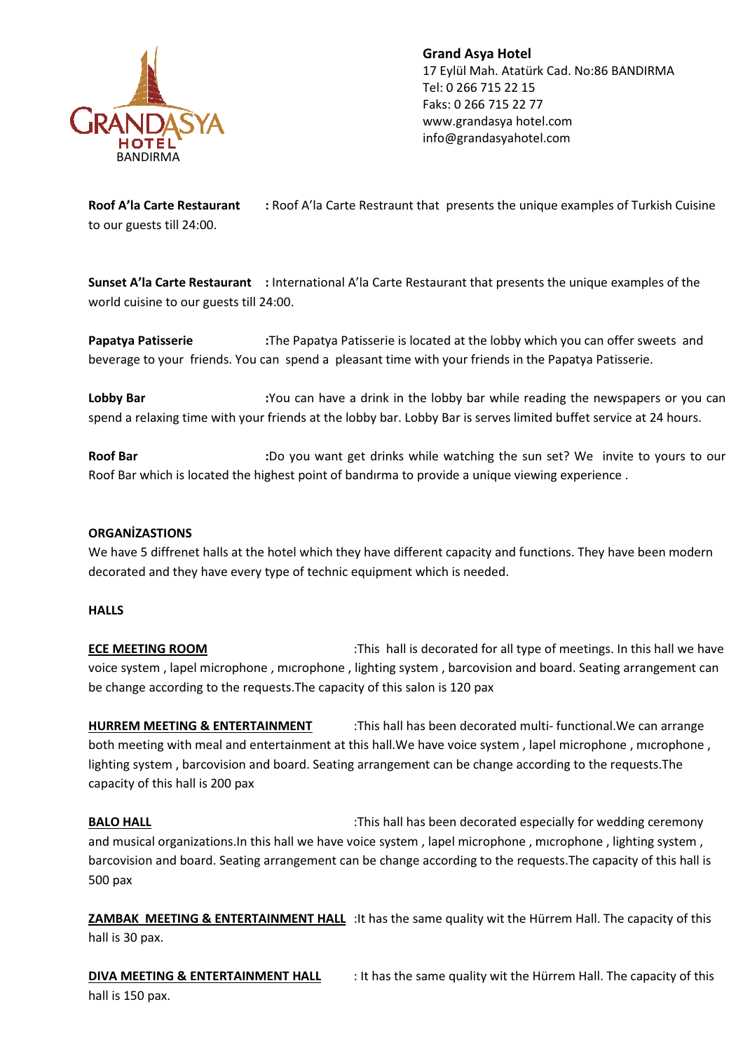

Grand Asya Hotel 17 Eylül Mah. Atatürk Cad. No:86 BANDIRMA Tel: 0 266 715 22 15 Faks: 0 266 715 22 77 www.grandasya hotel.com info@grandasyahotel.com

Roof A'la Carte Restaurant : to our guests till 24:00. Roof A'la Carte Restraunt that presents the unique examples of Turkish Cuisine

Sunset A'la Carte Restaurant : International A'la Carte Restaurant that presents the unique examples of the world cuisine to our guests till 24:00.

Papatya Patisserie : beverage to your friends. You can spend a pleasant time with your friends in the Papatya Patisserie. The Papatya Patisserie is located at the lobby which you can offer sweets and

Lobby Bar : spend a relaxing time with your friends at the lobby bar. Lobby Bar is serves limited buffet service at 24 hours. You can have a drink in the lobby bar while reading the newspapers or you can nternational A'la Carte Restaurant that presents the unique examples of the<br>
00.<br>
he Papatya Patisserie is located at the lobby which you can offer sweets and<br>
1 spend a pleasant time with your friends in the Papatya Patis

Roof Bar : Roof Bar which is located the highest point of bandırma to provide a unique viewing experience . :Do you want get drinks while watching the sun set? We invite to yours to our

### **ORGANIZASTIONS**

We have 5 diffrenet halls at the hotel which they have different capacity and functions. They have been modern decorated and they have every type of technic equipment which is needed.

### **HALLS**

ECE MEETING ROOM voice system, lapel microphone, microphone, lighting system, barcovision and board. Seating arrangement can be change according to the requests. The capacity of this salon is 120 pax d and they have every type of technic equipment which is needed.<br>
This hall is decorated for all type of meetings. In this hall we have<br>
T**ING ROOM** :This hall is decorated for all type of meetings. In this hall we have

HURREM MEETING & ENTERTAINMENT both meeting with meal and entertainment at this hall. We have voice system, lapel microphone, microphone, lighting system , barcovision and board. Seating arrangement can be change according to the requests.The capacity of this hall is 200 pax TING & ENTERTAINMENT :This hall has been decorated multi-functional. We can arrange his hall.We have voice system , lapel microphone , microphone<br>arrangement can be change according to the requests.The<br>This hall has been decorated especially for wedding ceremony:

BALO HALL and musical organizations.In this hall we have voice system , lapel microphone , mıcrophone , lighting system , barcovision and board. Seating arrangement can be change according to the requests. The capacity of this hall is 500 pax

ZAMBAK MEETING & ENTERTAINMENT HALL : It has the same quality wit the Hürrem Hall. The capacity of this hall is 30 pax.

DIVA MEETING & ENTERTAINMENT HALL hall is 150 pax. : It has the same quality wit the Hürrem Hall. The capacity of this